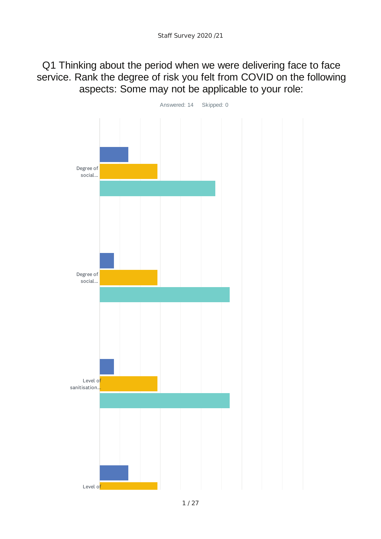Q1 Thinking about the period when we were delivering face to face service. Rank the degree of risk you felt from COVID on the following aspects: Some may not be applicable to your role:

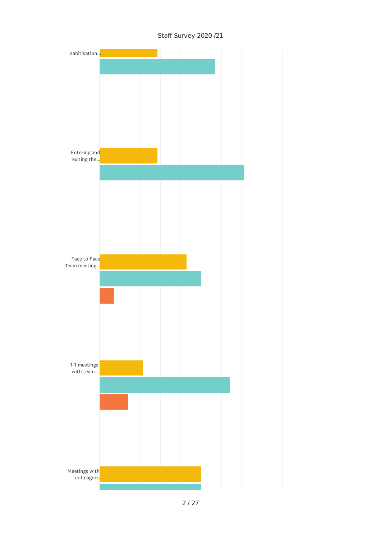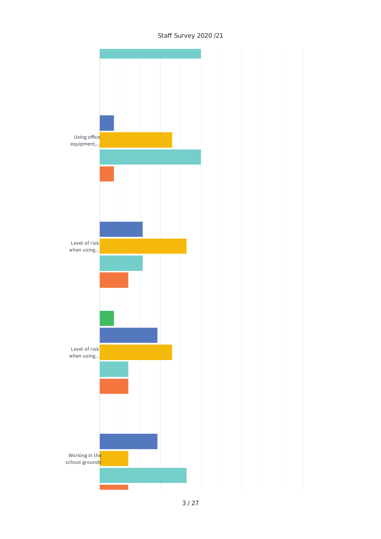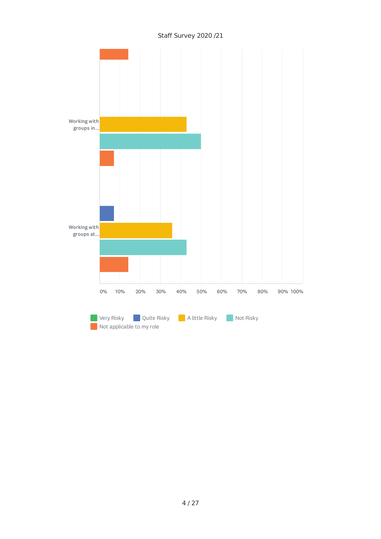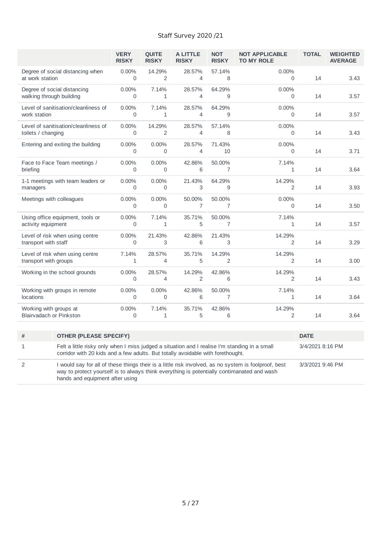|                                                          |                                                                                                                                                                                                                        | <b>VERY</b><br><b>RISKY</b> | <b>OUITE</b><br><b>RISKY</b> | <b>A LITTLE</b><br><b>RISKY</b> | <b>NOT</b><br><b>RISKY</b> | <b>NOT APPLICABLE</b><br><b>TO MY ROLE</b> | <b>TOTAL</b>     | <b>WEIGHTED</b><br><b>AVERAGE</b> |
|----------------------------------------------------------|------------------------------------------------------------------------------------------------------------------------------------------------------------------------------------------------------------------------|-----------------------------|------------------------------|---------------------------------|----------------------------|--------------------------------------------|------------------|-----------------------------------|
| at work station                                          | Degree of social distancing when                                                                                                                                                                                       | 0.00%<br>$\Omega$           | 14.29%<br>2                  | 28.57%<br>4                     | 57.14%<br>8                | 0.00%<br>0                                 | 14               | 3.43                              |
| Degree of social distancing<br>walking through building  |                                                                                                                                                                                                                        | $0.00\%$<br>$\Omega$        | 7.14%<br>1                   | 28.57%<br>4                     | 64.29%<br>9                | 0.00%<br>$\Omega$                          | 14               | 3.57                              |
| work station                                             | Level of sanitisation/cleanliness of                                                                                                                                                                                   | 0.00%<br>$\Omega$           | 7.14%<br>1                   | 28.57%<br>4                     | 64.29%<br>9                | 0.00%<br>$\Omega$                          | 14               | 3.57                              |
| toilets / changing                                       | Level of sanitisation/cleanliness of                                                                                                                                                                                   | 0.00%<br>$\Omega$           | 14.29%<br>2                  | 28.57%<br>$\overline{4}$        | 57.14%<br>8                | 0.00%<br>$\Omega$                          | 14               | 3.43                              |
|                                                          | Entering and exiting the building                                                                                                                                                                                      | 0.00%<br>$\Omega$           | 0.00%<br>0                   | 28.57%<br>4                     | 71.43%<br>10               | 0.00%<br>0                                 | 14               | 3.71                              |
| briefing                                                 | Face to Face Team meetings /                                                                                                                                                                                           | $0.00\%$<br>$\mathbf 0$     | 0.00%<br>0                   | 42.86%<br>6                     | 50.00%<br>$\overline{7}$   | 7.14%<br>$\mathbf{1}$                      | 14               | 3.64                              |
| managers                                                 | 1-1 meetings with team leaders or                                                                                                                                                                                      | $0.00\%$<br>0               | 0.00%<br>0                   | 21.43%<br>3                     | 64.29%<br>9                | 14.29%<br>2                                | 14               | 3.93                              |
| Meetings with colleagues                                 |                                                                                                                                                                                                                        | 0.00%<br>$\mathbf 0$        | 0.00%<br>0                   | 50.00%<br>$\overline{7}$        | 50.00%<br>7                | $0.00\%$<br>0                              | 14               | 3.50                              |
| activity equipment                                       | Using office equipment, tools or                                                                                                                                                                                       | 0.00%<br>$\mathbf 0$        | 7.14%<br>1                   | 35.71%<br>5                     | 50.00%<br>$\overline{7}$   | 7.14%<br>1                                 | 14               | 3.57                              |
| Level of risk when using centre<br>transport with staff  |                                                                                                                                                                                                                        | 0.00%<br>$\mathbf 0$        | 21.43%<br>3                  | 42.86%<br>6                     | 21.43%<br>3                | 14.29%<br>2                                | 14               | 3.29                              |
| transport with groups                                    | Level of risk when using centre                                                                                                                                                                                        | 7.14%<br>$\mathbf{1}$       | 28.57%<br>4                  | 35.71%<br>5                     | 14.29%<br>2                | 14.29%<br>$\overline{2}$                   | 14               | 3.00                              |
|                                                          | Working in the school grounds                                                                                                                                                                                          | 0.00%<br>$\Omega$           | 28.57%<br>4                  | 14.29%<br>$\overline{2}$        | 42.86%<br>6                | 14.29%<br>2                                | 14               | 3.43                              |
| locations                                                | Working with groups in remote                                                                                                                                                                                          | $0.00\%$<br>$\Omega$        | 0.00%<br>0                   | 42.86%<br>6                     | 50.00%<br>7                | 7.14%<br>1                                 | 14               | 3.64                              |
| Working with groups at<br><b>Blairvadach or Pinkston</b> |                                                                                                                                                                                                                        | 0.00%<br>$\mathbf 0$        | 7.14%<br>1                   | 35.71%<br>5                     | 42.86%<br>6                | 14.29%<br>2                                | 14               | 3.64                              |
| $\#$                                                     | <b>OTHER (PLEASE SPECIFY)</b>                                                                                                                                                                                          |                             |                              |                                 |                            |                                            | <b>DATE</b>      |                                   |
| $\mathbf{1}$                                             | Felt a little risky only when I miss judged a situation and I realise I'm standing in a small<br>corridor with 20 kids and a few adults. But totally avoidable with forethought.                                       |                             |                              |                                 |                            |                                            | 3/4/2021 8:16 PM |                                   |
| $\overline{2}$                                           | I would say for all of these things their is a little risk involved, as no system is foolproof, best<br>3/3/2021 9:46 PM<br>way to protect yourself is to always think everything is potentially contimanated and wash |                             |                              |                                 |                            |                                            |                  |                                   |

hands and equipment after using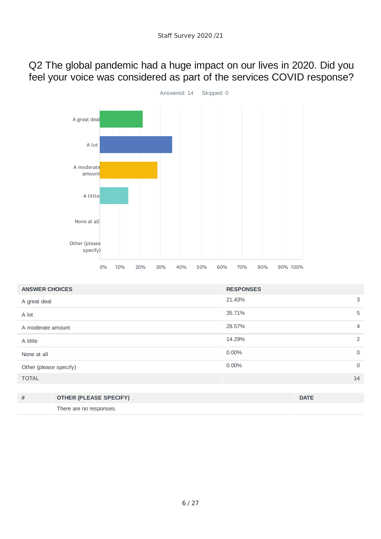#### Q2 The global pandemic had a huge impact on our lives in 2020. Did you feel your voice was considered as part of the services COVID response?



| <b>ANSWER CHOICES</b>  |                               | <b>RESPONSES</b> |                |
|------------------------|-------------------------------|------------------|----------------|
| A great deal           |                               | 21.43%           | 3              |
| A lot                  |                               | 35.71%           | 5              |
| A moderate amount      |                               | 28.57%           | $\overline{4}$ |
| A little               |                               | 14.29%           | 2              |
| None at all            |                               | $0.00\%$         | $\mathbf 0$    |
| Other (please specify) |                               | 0.00%            | $\overline{0}$ |
| <b>TOTAL</b>           |                               |                  | 14             |
|                        |                               |                  |                |
| #                      | <b>OTHER (PLEASE SPECIFY)</b> |                  | <b>DATE</b>    |

There are no responses.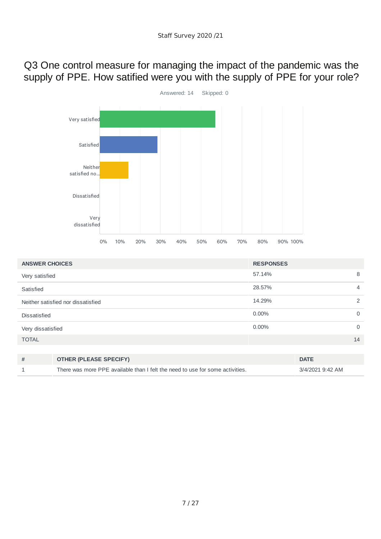Q3 One control measure for managing the impact of the pandemic was the supply of PPE. How satified were you with the supply of PPE for your role?



| <b>ANSWER CHOICES</b> |                                                                               | <b>RESPONSES</b> |                  |                |
|-----------------------|-------------------------------------------------------------------------------|------------------|------------------|----------------|
| Very satisfied        |                                                                               | 57.14%           |                  | 8              |
| Satisfied             |                                                                               | 28.57%           |                  | $\overline{4}$ |
|                       | Neither satisfied nor dissatisfied                                            | 14.29%           |                  | 2              |
| <b>Dissatisfied</b>   |                                                                               | 0.00%            |                  | $\Omega$       |
| Very dissatisfied     |                                                                               | $0.00\%$         |                  | $\overline{0}$ |
| <b>TOTAL</b>          |                                                                               |                  |                  | 14             |
|                       |                                                                               |                  |                  |                |
| #                     | <b>OTHER (PLEASE SPECIFY)</b>                                                 |                  | <b>DATE</b>      |                |
|                       | There was more PPE available than I felt the need to use for some activities. |                  | 3/4/2021 9:42 AM |                |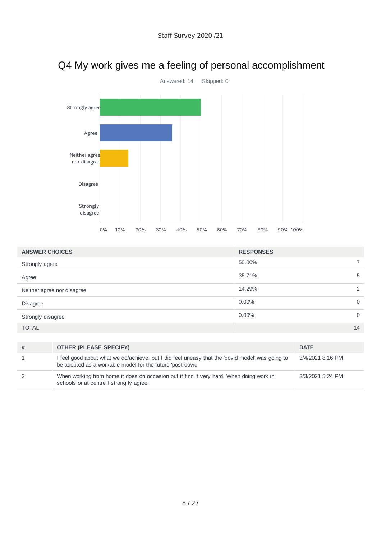

# Q4 My work gives me a feeling of personal accomplishment

| <b>ANSWER CHOICES</b>      | <b>RESPONSES</b> |
|----------------------------|------------------|
| Strongly agree             | 50.00%           |
| Agree                      | 35.71%<br>5      |
| Neither agree nor disagree | 14.29%<br>2      |
| <b>Disagree</b>            | $0.00\%$<br>0    |
| Strongly disagree          | $0.00\%$<br>0    |
| <b>TOTAL</b>               | 14               |

| <b>OTHER (PLEASE SPECIFY)</b>                                                                                                                                 | <b>DATE</b>      |
|---------------------------------------------------------------------------------------------------------------------------------------------------------------|------------------|
| I feel good about what we do/achieve, but I did feel uneasy that the 'covid model' was going to<br>be adopted as a workable model for the future 'post covid' | 3/4/2021 8:16 PM |
| When working from home it does on occasion but if find it very hard. When doing work in<br>schools or at centre I strong ly agree.                            | 3/3/2021 5:24 PM |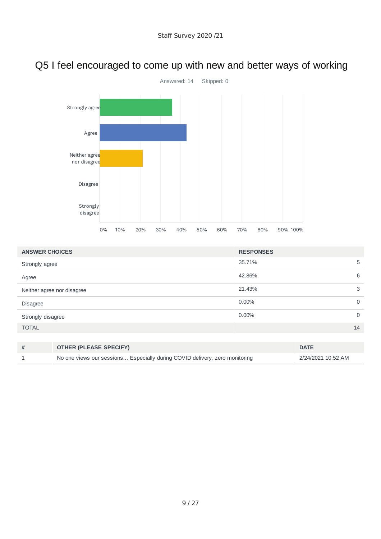# Q5 I feel encouraged to come up with new and better ways of working



| <b>ANSWER CHOICES</b>      | <b>RESPONSES</b>        |
|----------------------------|-------------------------|
| Strongly agree             | 5<br>35.71%             |
| Agree                      | 6<br>42.86%             |
| Neither agree nor disagree | 21.43%<br>3             |
| Disagree                   | $0.00\%$<br>$\mathbf 0$ |
| Strongly disagree          | $0.00\%$<br>$\mathbf 0$ |
| <b>TOTAL</b>               | 14                      |
|                            |                         |

| <b>OTHER (PLEASE SPECIFY)</b>                                               | <b>DATE</b>        |
|-----------------------------------------------------------------------------|--------------------|
| No one views our sessions Especially during COVID delivery, zero monitoring | 2/24/2021 10:52 AM |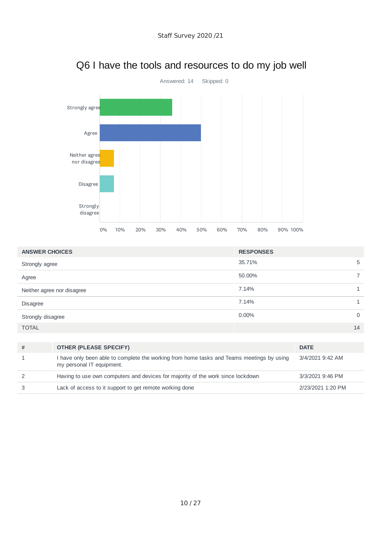

## Q6 I have the tools and resources to do my job well

| <b>ANSWER CHOICES</b>      | <b>RESPONSES</b>     |
|----------------------------|----------------------|
| Strongly agree             | 35.71%<br>5          |
| Agree                      | 50.00%               |
| Neither agree nor disagree | 7.14%                |
| <b>Disagree</b>            | 7.14%                |
| Strongly disagree          | $0.00\%$<br>$\Omega$ |
| <b>TOTAL</b>               | 14                   |

| <b>OTHER (PLEASE SPECIFY)</b>                                                                                          | <b>DATE</b>       |
|------------------------------------------------------------------------------------------------------------------------|-------------------|
| I have only been able to complete the working from home tasks and Teams meetings by using<br>my personal IT equipment. | 3/4/2021 9:42 AM  |
| Having to use own computers and devices for majority of the work since lockdown                                        | 3/3/2021 9:46 PM  |
| Lack of access to it support to get remote working done                                                                | 2/23/2021 1:20 PM |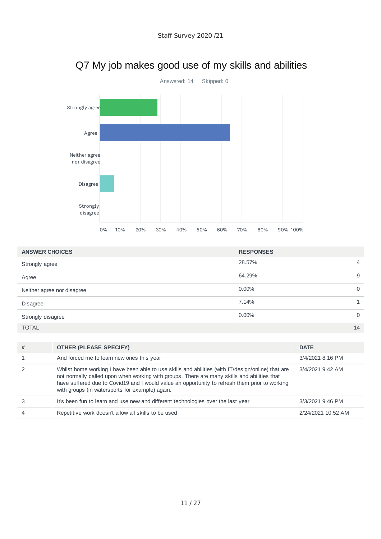

## Q7 My job makes good use of my skills and abilities

| <b>ANSWER CHOICES</b>      | <b>RESPONSES</b> |
|----------------------------|------------------|
| Strongly agree             | 28.57%<br>4      |
| Agree                      | 64.29%<br>9      |
| Neither agree nor disagree | $0.00\%$         |
| <b>Disagree</b>            | 7.14%            |
| Strongly disagree          | $0.00\%$<br>0    |
| <b>TOTAL</b>               | 14               |

| # | <b>OTHER (PLEASE SPECIFY)</b>                                                                                                                                                                                                                                                                                                                         | <b>DATE</b>        |
|---|-------------------------------------------------------------------------------------------------------------------------------------------------------------------------------------------------------------------------------------------------------------------------------------------------------------------------------------------------------|--------------------|
|   | And forced me to learn new ones this year                                                                                                                                                                                                                                                                                                             | 3/4/2021 8:16 PM   |
|   | Whilst home working I have been able to use skills and abilities (with IT/design/online) that are<br>not normally called upon when working with groups. There are many skills and abilities that<br>have suffered due to Covid19 and I would value an opportunity to refresh them prior to working<br>with groups (in watersports for example) again. | 3/4/2021 9:42 AM   |
|   | It's been fun to learn and use new and different technologies over the last year                                                                                                                                                                                                                                                                      | 3/3/2021 9:46 PM   |
|   | Repetitive work doesn't allow all skills to be used                                                                                                                                                                                                                                                                                                   | 2/24/2021 10:52 AM |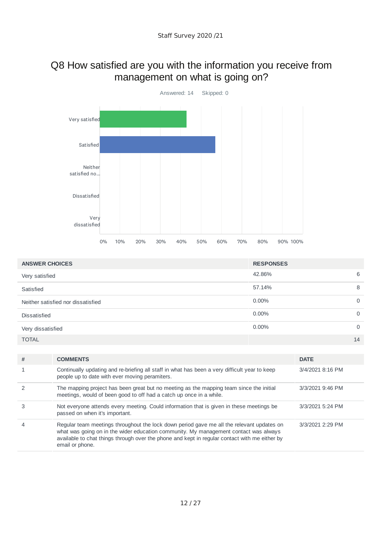#### Q8 How satisfied are you with the information you receive from management on what is going on?



| <b>ANSWER CHOICES</b>              | <b>RESPONSES</b> |             |
|------------------------------------|------------------|-------------|
| Very satisfied                     | 42.86%           | 6           |
| Satisfied                          | 57.14%           | 8           |
| Neither satisfied nor dissatisfied | $0.00\%$         | $\mathbf 0$ |
| <b>Dissatisfied</b>                | $0.00\%$         | $\mathbf 0$ |
| Very dissatisfied                  | $0.00\%$         | $\mathbf 0$ |
| <b>TOTAL</b>                       |                  | 14          |

| #              | <b>COMMENTS</b>                                                                                                                                                                                                                                                                                       | <b>DATE</b>      |
|----------------|-------------------------------------------------------------------------------------------------------------------------------------------------------------------------------------------------------------------------------------------------------------------------------------------------------|------------------|
|                | Continually updating and re-briefing all staff in what has been a very difficult year to keep<br>people up to date with ever moving peramiters.                                                                                                                                                       | 3/4/2021 8:16 PM |
|                | The mapping project has been great but no meeting as the mapping team since the initial<br>meetings, would of been good to off had a catch up once in a while.                                                                                                                                        | 3/3/2021 9:46 PM |
| 3              | Not everyone attends every meeting. Could information that is given in these meetings be<br>passed on when it's important.                                                                                                                                                                            | 3/3/2021 5:24 PM |
| $\overline{4}$ | Regular team meetings throughout the lock down period gave me all the relevant updates on<br>what was going on in the wider education community. My management contact was always<br>available to chat things through over the phone and kept in regular contact with me either by<br>email or phone. | 3/3/2021 2:29 PM |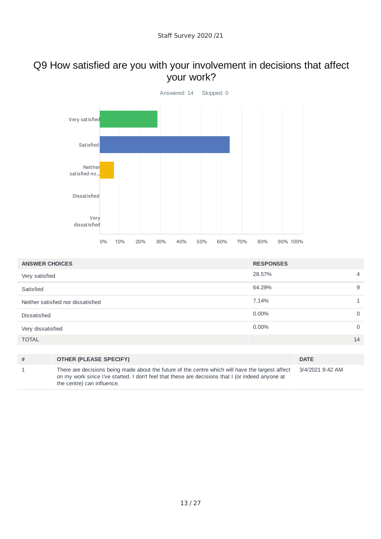#### Q9 How satisfied are you with your involvement in decisions that affect your work?



| <b>ANSWER CHOICES</b>              | <b>RESPONSES</b> |                |
|------------------------------------|------------------|----------------|
| Very satisfied                     | 28.57%           | $\overline{4}$ |
| Satisfied                          | 64.29%           | 9              |
| Neither satisfied nor dissatisfied | 7.14%            | $\mathbf{1}$   |
| <b>Dissatisfied</b>                | 0.00%            | 0              |
| Very dissatisfied                  | 0.00%            | $\mathbf 0$    |
| <b>TOTAL</b>                       |                  | 14             |
|                                    |                  |                |

**# OTHER (PLEASE SPECIFY) DATE** 1 There are decisions being made about the future of the centre which will have the largest affect on my work since I've started. I don't feel that these are decisions that I (or indeed anyone at the centre) can influence. 3/4/2021 9:42 AM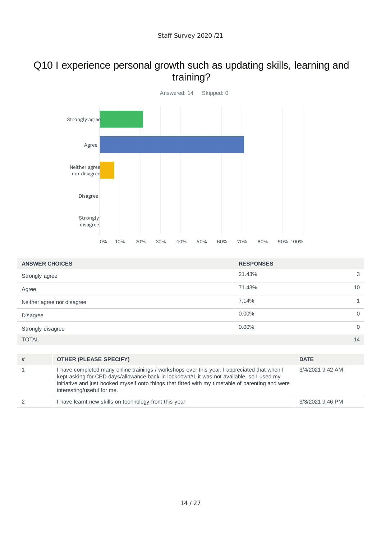#### Q10 I experience personal growth such as updating skills, learning and training?



| <b>ANSWER CHOICES</b>      | <b>RESPONSES</b> |              |
|----------------------------|------------------|--------------|
| Strongly agree             | 21.43%           | 3            |
| Agree                      | 71.43%           | 10           |
| Neither agree nor disagree | 7.14%            | $\mathbf{1}$ |
| Disagree                   | $0.00\%$         | $\mathbf 0$  |
| Strongly disagree          | $0.00\%$         | $\mathbf 0$  |
| <b>TOTAL</b>               |                  | 14           |
|                            |                  |              |
|                            |                  |              |

| # | <b>OTHER (PLEASE SPECIFY)</b>                                                                                                                                                                                                                                                                                               | <b>DATE</b>      |
|---|-----------------------------------------------------------------------------------------------------------------------------------------------------------------------------------------------------------------------------------------------------------------------------------------------------------------------------|------------------|
|   | I have completed many online trainings / workshops over this year. I appreciated that when I<br>kept asking for CPD days/allowance back in lockdown#1 it was not available, so I used my<br>initiative and just booked myself onto things that fitted with my timetable of parenting and were<br>interesting/useful for me. | 3/4/2021 9:42 AM |
| 2 | I have learnt new skills on technology front this year                                                                                                                                                                                                                                                                      | 3/3/2021 9:46 PM |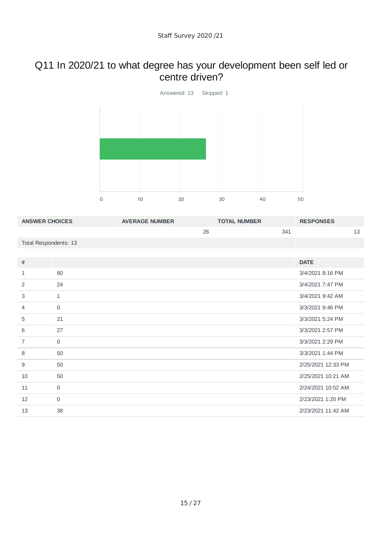## Q11 In 2020/21 to what degree has your development been self led or centre driven?



| <b>ANSWER CHOICES</b> |                     | <b>AVERAGE NUMBER</b> |    | <b>TOTAL NUMBER</b> |     | <b>RESPONSES</b>   |    |
|-----------------------|---------------------|-----------------------|----|---------------------|-----|--------------------|----|
|                       |                     |                       | 26 |                     | 341 |                    | 13 |
| Total Respondents: 13 |                     |                       |    |                     |     |                    |    |
|                       |                     |                       |    |                     |     |                    |    |
| #                     |                     |                       |    |                     |     | <b>DATE</b>        |    |
| 1                     | 80                  |                       |    |                     |     | 3/4/2021 8:16 PM   |    |
| 2                     | 24                  |                       |    |                     |     | 3/4/2021 7:47 PM   |    |
| 3                     | $\mathbf{1}$        |                       |    |                     |     | 3/4/2021 9:42 AM   |    |
| 4                     | $\mathsf{O}$        |                       |    |                     |     | 3/3/2021 9:46 PM   |    |
| 5                     | 21                  |                       |    |                     |     | 3/3/2021 5:24 PM   |    |
| 6                     | 27                  |                       |    |                     |     | 3/3/2021 2:57 PM   |    |
| $\overline{7}$        | $\mathsf{O}\xspace$ |                       |    |                     |     | 3/3/2021 2:29 PM   |    |
| 8                     | 50                  |                       |    |                     |     | 3/3/2021 1:44 PM   |    |
| 9                     | 50                  |                       |    |                     |     | 2/25/2021 12:33 PM |    |
| 10                    | 50                  |                       |    |                     |     | 2/25/2021 10:21 AM |    |
| 11                    | 0                   |                       |    |                     |     | 2/24/2021 10:52 AM |    |
| 12                    | $\mathbf 0$         |                       |    |                     |     | 2/23/2021 1:20 PM  |    |
| 13                    | 38                  |                       |    |                     |     | 2/23/2021 11:42 AM |    |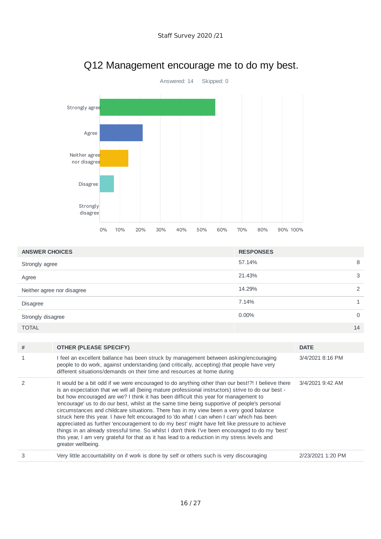

## Q12 Management encourage me to do my best.

| <b>ANSWER CHOICES</b>      | <b>RESPONSES</b> |   |
|----------------------------|------------------|---|
| Strongly agree             | 57.14%           | 8 |
| Agree                      | 21.43%           | 3 |
| Neither agree nor disagree | 14.29%           | ◠ |
| <b>Disagree</b>            | 7.14%            |   |
| Strongly disagree          | $0.00\%$         |   |
| <b>TOTAL</b>               | 14               |   |

| # | <b>OTHER (PLEASE SPECIFY)</b>                                                                                                                                                                                                                                                                                                                                                                                                                                                                                                                                                                                                                                                                                                                                                                                                                                                                                      | <b>DATE</b>       |
|---|--------------------------------------------------------------------------------------------------------------------------------------------------------------------------------------------------------------------------------------------------------------------------------------------------------------------------------------------------------------------------------------------------------------------------------------------------------------------------------------------------------------------------------------------------------------------------------------------------------------------------------------------------------------------------------------------------------------------------------------------------------------------------------------------------------------------------------------------------------------------------------------------------------------------|-------------------|
|   | I feel an excellent ballance has been struck by management between asking/encouraging<br>people to do work, against understanding (and critically, accepting) that people have very<br>different situations/demands on their time and resources at home during                                                                                                                                                                                                                                                                                                                                                                                                                                                                                                                                                                                                                                                     | 3/4/2021 8:16 PM  |
|   | It would be a bit odd if we were encouraged to do anything other than our best!?! I believe there<br>is an expectation that we will all (being mature professional instructors) strive to do our best -<br>but how encouraged are we? I think it has been difficult this year for management to<br>'encourage' us to do our best, whilst at the same time being supportive of people's personal<br>circumstances and childcare situations. There has in my view been a very good balance<br>struck here this year. I have felt encouraged to 'do what I can when I can' which has been<br>appreciated as further 'encouragement to do my best' might have felt like pressure to achieve<br>things in an already stressful time. So whilst I don't think I've been encouraged to do my 'best'<br>this year, I am very grateful for that as it has lead to a reduction in my stress levels and<br>greater wellbeing. | 3/4/2021 9:42 AM  |
|   | Very little accountability on if work is done by self or others such is very discouraging                                                                                                                                                                                                                                                                                                                                                                                                                                                                                                                                                                                                                                                                                                                                                                                                                          | 2/23/2021 1:20 PM |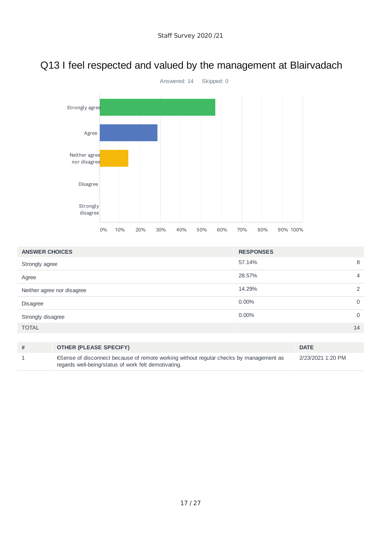# Q13 I feel respected and valued by the management at Blairvadach



| <b>ANSWER CHOICES</b>      | <b>RESPONSES</b>         |
|----------------------------|--------------------------|
| Strongly agree             | 8<br>57.14%              |
| Agree                      | 28.57%<br>$\overline{4}$ |
| Neither agree nor disagree | 2<br>14.29%              |
| <b>Disagree</b>            | $0.00\%$<br>$\mathbf 0$  |
| Strongly disagree          | $0.00\%$<br>$\mathbf 0$  |
| <b>TOTAL</b>               | 14                       |
|                            |                          |

| # | <b>OTHER (PLEASE SPECIFY)</b>                                                                                                                   | <b>DATE</b>       |
|---|-------------------------------------------------------------------------------------------------------------------------------------------------|-------------------|
|   | € Sense of disconnect because of remote working without regular checks by management as<br>regards well-being/status of work felt demotivating. | 2/23/2021 1:20 PM |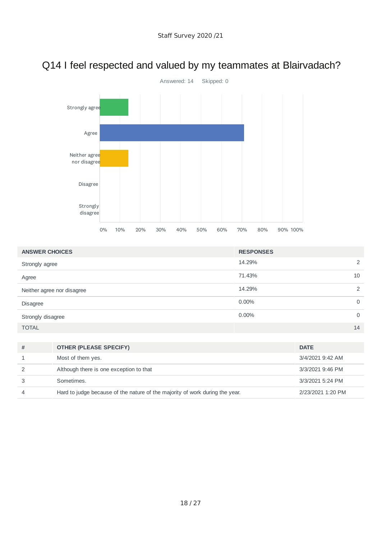# Q14 I feel respected and valued by my teammates at Blairvadach?



| <b>ANSWER CHOICES</b>      | <b>RESPONSES</b>        |
|----------------------------|-------------------------|
| Strongly agree             | 2<br>14.29%             |
| Agree                      | 10<br>71.43%            |
| Neither agree nor disagree | 14.29%<br>2             |
| Disagree                   | $0.00\%$<br>$\mathbf 0$ |
| Strongly disagree          | $0.00\%$<br>$\mathbf 0$ |
| <b>TOTAL</b>               | 14                      |

| # | <b>OTHER (PLEASE SPECIFY)</b>                                                | <b>DATE</b>       |
|---|------------------------------------------------------------------------------|-------------------|
|   | Most of them yes.                                                            | 3/4/2021 9:42 AM  |
|   | Although there is one exception to that                                      | 3/3/2021 9:46 PM  |
|   | Sometimes.                                                                   | 3/3/2021 5:24 PM  |
|   | Hard to judge because of the nature of the majority of work during the year. | 2/23/2021 1:20 PM |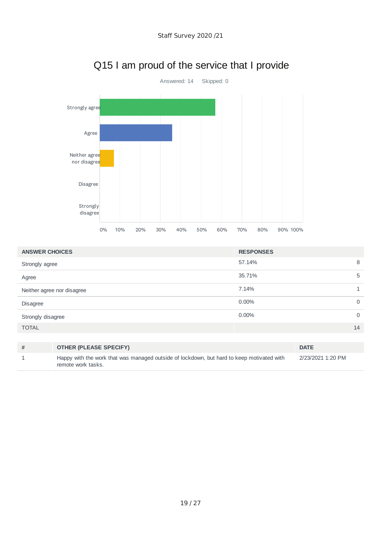

## Q15 I am proud of the service that I provide

| <b>ANSWER CHOICES</b>      | <b>RESPONSES</b>     |
|----------------------------|----------------------|
| Strongly agree             | 57.14%<br>8          |
| Agree                      | 35.71%<br>5          |
| Neither agree nor disagree | 7.14%                |
| Disagree                   | $0.00\%$<br>0        |
| Strongly disagree          | $0.00\%$<br>$\Omega$ |
| <b>TOTAL</b>               | 14                   |
|                            |                      |

| # | <b>OTHER (PLEASE SPECIFY)</b>                                                                                   | <b>DATE</b>       |
|---|-----------------------------------------------------------------------------------------------------------------|-------------------|
|   | Happy with the work that was managed outside of lockdown, but hard to keep motivated with<br>remote work tasks. | 2/23/2021 1:20 PM |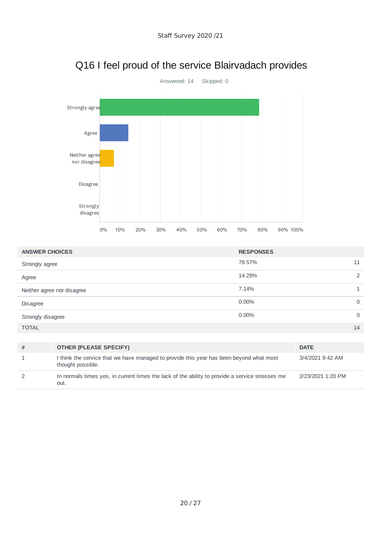

## Q16 I feel proud of the service Blairvadach provides

| <b>ANSWER CHOICES</b>      | <b>RESPONSES</b> |          |
|----------------------------|------------------|----------|
| Strongly agree             | 78.57%           | 11       |
| Agree                      | 14.29%           | っ        |
| Neither agree nor disagree | 7.14%            |          |
| <b>Disagree</b>            | $0.00\%$         | $\Omega$ |
| Strongly disagree          | $0.00\%$         | $\Omega$ |
| <b>TOTAL</b>               |                  | 14       |

| # | <b>OTHER (PLEASE SPECIFY)</b>                                                                                | <b>DATE</b>       |
|---|--------------------------------------------------------------------------------------------------------------|-------------------|
|   | I think the service that we have managed to provide this year has been beyond what most<br>thought possible. | 3/4/2021 9:42 AM  |
|   | In normals times yes, in current times the lack of the ability to provide a service stresses me<br>out.      | 2/23/2021 1:20 PM |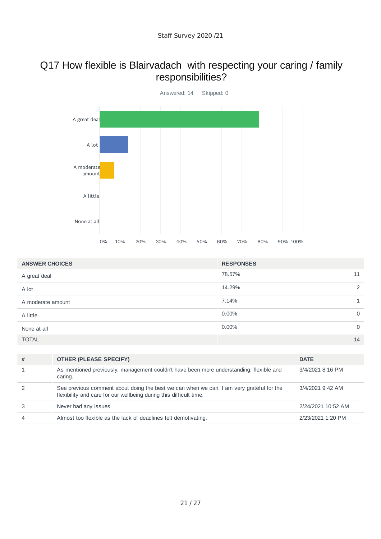#### Q17 How flexible is Blairvadach with respecting your caring / family responsibilities?



| <b>ANSWER CHOICES</b> | <b>RESPONSES</b> |             |
|-----------------------|------------------|-------------|
| A great deal          | 78.57%           | 11          |
| A lot                 | 14.29%           | 2           |
| A moderate amount     | 7.14%            |             |
| A little              | $0.00\%$         | $\mathbf 0$ |
| None at all           | 0.00%            | $\mathbf 0$ |
| <b>TOTAL</b>          |                  | 14          |

| #              | <b>OTHER (PLEASE SPECIFY)</b>                                                                                                                                  | <b>DATE</b>        |
|----------------|----------------------------------------------------------------------------------------------------------------------------------------------------------------|--------------------|
|                | As mentioned previously, management couldn't have been more understanding, flexible and<br>caring.                                                             | 3/4/2021 8:16 PM   |
|                | See previous comment about doing the best we can when we can. I am very grateful for the<br>flexibility and care for our wellbeing during this difficult time. | 3/4/2021 9:42 AM   |
|                | Never had any issues                                                                                                                                           | 2/24/2021 10:52 AM |
| $\overline{4}$ | Almost too flexible as the lack of deadlines felt demotivating.                                                                                                | 2/23/2021 1:20 PM  |
|                |                                                                                                                                                                |                    |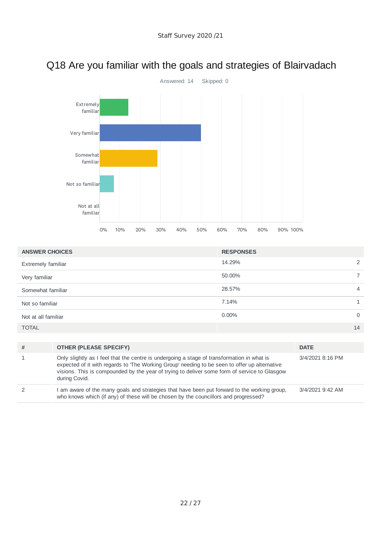

## Q18 Are you familiar with the goals and strategies of Blairvadach

| <b>ANSWER CHOICES</b> | <b>RESPONSES</b>  |
|-----------------------|-------------------|
| Extremely familiar    | 14.29%            |
| Very familiar         | 50.00%            |
| Somewhat familiar     | 28.57%<br>4       |
| Not so familiar       | 7.14%             |
| Not at all familiar   | 0.00%<br>$\Omega$ |
| <b>TOTAL</b>          | 14                |

| # | <b>OTHER (PLEASE SPECIFY)</b>                                                                                                                                                                                                                                                                               | <b>DATE</b>      |
|---|-------------------------------------------------------------------------------------------------------------------------------------------------------------------------------------------------------------------------------------------------------------------------------------------------------------|------------------|
|   | Only slightly as I feel that the centre is undergoing a stage of transformation in what is<br>expected of it with regards to The Working Group' needing to be seen to offer up alternative<br>visions. This is compounded by the year of trying to deliver some form of service to Glasgow<br>during Covid. | 3/4/2021 8:16 PM |
|   | I am aware of the many goals and strategies that have been put forward to the working group,<br>who knows which (if any) of these will be chosen by the councillors and progressed?                                                                                                                         | 3/4/2021 9:42 AM |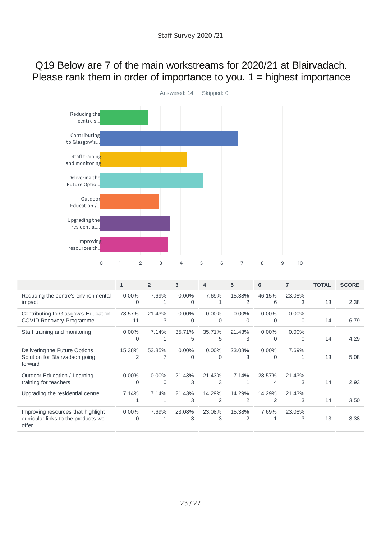#### Q19 Below are 7 of the main workstreams for 2020/21 at Blairvadach. Please rank them in order of importance to you.  $1 =$  highest importance



|                                                                                    | 1                    | $\overline{2}$       | 3                    | 4                        | 5                        | 6                        | $\overline{7}$       | <b>TOTAL</b> | <b>SCORE</b> |
|------------------------------------------------------------------------------------|----------------------|----------------------|----------------------|--------------------------|--------------------------|--------------------------|----------------------|--------------|--------------|
| Reducing the centre's environmental<br>impact                                      | $0.00\%$<br>$\Omega$ | 7.69%                | $0.00\%$<br>$\Omega$ | 7.69%                    | 15.38%<br>$\overline{2}$ | 46.15%<br>6              | 23.08%<br>3          | 13           | 2.38         |
| Contributing to Glasgow's Education<br>COVID Recovery Programme.                   | 78.57%<br>11         | 21.43%<br>3          | $0.00\%$<br>0        | $0.00\%$<br>$\Omega$     | $0.00\%$<br>$\Omega$     | $0.00\%$<br>$\Omega$     | $0.00\%$<br>$\Omega$ | 14           | 6.79         |
| Staff training and monitoring                                                      | $0.00\%$<br>O        | 7.14%                | 35.71%<br>5          | 35.71%<br>5              | 21.43%<br>3              | $0.00\%$<br>$\Omega$     | $0.00\%$<br>$\Omega$ | 14           | 4.29         |
| Delivering the Future Options<br>Solution for Blairvadach going<br>forward         | 15.38%<br>2          | 53.85%               | $0.00\%$<br>$\Omega$ | $0.00\%$<br>$\Omega$     | 23.08%<br>3              | $0.00\%$<br>$\Omega$     | 7.69%<br>1           | 13           | 5.08         |
| Outdoor Education / Learning<br>training for teachers                              | $0.00\%$<br>$\Omega$ | $0.00\%$<br>$\Omega$ | 21.43%<br>3          | 21.43%<br>3              | 7.14%                    | 28.57%<br>4              | 21.43%<br>3          | 14           | 2.93         |
| Upgrading the residential centre                                                   | 7.14%                | 7.14%                | 21.43%<br>3          | 14.29%<br>$\overline{2}$ | 14.29%<br>$\overline{2}$ | 14.29%<br>$\overline{2}$ | 21.43%<br>3          | 14           | 3.50         |
| Improving resources that highlight<br>curricular links to the products we<br>offer | $0.00\%$<br>$\Omega$ | 7.69%                | 23.08%<br>3          | 23.08%<br>3              | 15.38%<br>2              | 7.69%                    | 23.08%<br>3          | 13           | 3.38         |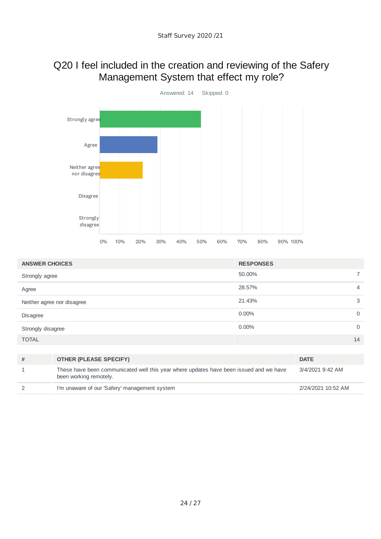#### Q20 I feel included in the creation and reviewing of the Safery Management System that effect my role?



| <b>ANSWER CHOICES</b>                                                                                                 |                               | <b>RESPONSES</b> |                  |                |
|-----------------------------------------------------------------------------------------------------------------------|-------------------------------|------------------|------------------|----------------|
| Strongly agree                                                                                                        |                               | 50.00%           |                  | $\overline{7}$ |
| Agree                                                                                                                 |                               | 28.57%           |                  | 4              |
|                                                                                                                       | Neither agree nor disagree    | 21.43%           |                  | 3              |
| <b>Disagree</b>                                                                                                       |                               | $0.00\%$         |                  | $\Omega$       |
| Strongly disagree                                                                                                     |                               | $0.00\%$         |                  | $\mathbf 0$    |
| <b>TOTAL</b>                                                                                                          |                               |                  |                  | 14             |
|                                                                                                                       |                               |                  |                  |                |
| #                                                                                                                     | <b>OTHER (PLEASE SPECIFY)</b> |                  | <b>DATE</b>      |                |
| These have been communicated well this year where updates have been issued and we have<br>1<br>been working remotely. |                               |                  | 3/4/2021 9:42 AM |                |

| I'm unaware of our 'Safery' management system | 2/24/2021 10:52 AM |
|-----------------------------------------------|--------------------|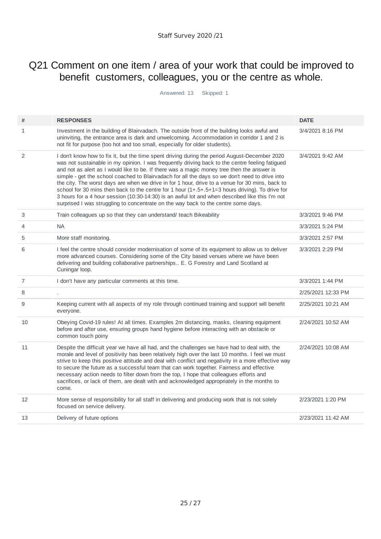#### Q21 Comment on one item / area of your work that could be improved to benefit customers, colleagues, you or the centre as whole.

Answered: 13 Skipped: 1

| #            | <b>RESPONSES</b>                                                                                                                                                                                                                                                                                                                                                                                                                                                                                                                                                                                                                                                                                                                                                                                  | <b>DATE</b>        |
|--------------|---------------------------------------------------------------------------------------------------------------------------------------------------------------------------------------------------------------------------------------------------------------------------------------------------------------------------------------------------------------------------------------------------------------------------------------------------------------------------------------------------------------------------------------------------------------------------------------------------------------------------------------------------------------------------------------------------------------------------------------------------------------------------------------------------|--------------------|
|              |                                                                                                                                                                                                                                                                                                                                                                                                                                                                                                                                                                                                                                                                                                                                                                                                   |                    |
| $\mathbf{1}$ | Investment in the building of Blairvadach. The outside front of the building looks awful and<br>uninviting, the entrance area is dark and unwelcoming. Accommodation in corridor 1 and 2 is<br>not fit for purpose (too hot and too small, especially for older students).                                                                                                                                                                                                                                                                                                                                                                                                                                                                                                                        | 3/4/2021 8:16 PM   |
| 2            | I don't know how to fix it, but the time spent driving during the period August-December 2020<br>was not sustainable in my opinion. I was frequently driving back to the centre feeling fatigued<br>and not as alert as I would like to be. If there was a magic money tree then the answer is<br>simple - get the school coached to Blairvadach for all the days so we don't need to drive into<br>the city. The worst days are when we drive in for 1 hour, drive to a venue for 30 mins, back to<br>school for 30 mins then back to the centre for 1 hour $(1+.5+.5+1=3$ hours driving). To drive for<br>3 hours for a 4 hour session (10:30-14:30) is an awful lot and when described like this I'm not<br>surprised I was struggling to concentrate on the way back to the centre some days. | 3/4/2021 9:42 AM   |
| 3            | Train colleagues up so that they can understand/ teach Bikeability                                                                                                                                                                                                                                                                                                                                                                                                                                                                                                                                                                                                                                                                                                                                | 3/3/2021 9:46 PM   |
| 4            | <b>NA</b>                                                                                                                                                                                                                                                                                                                                                                                                                                                                                                                                                                                                                                                                                                                                                                                         | 3/3/2021 5:24 PM   |
| 5            | More staff monitoring.                                                                                                                                                                                                                                                                                                                                                                                                                                                                                                                                                                                                                                                                                                                                                                            | 3/3/2021 2:57 PM   |
| 6            | I feel the centre should consider modernisation of some of its equipment to allow us to deliver<br>more advanced courses. Considering some of the City based venues where we have been<br>delivering and building collaborative partnerships E. G Forestry and Land Scotland at<br>Cuningar loop.                                                                                                                                                                                                                                                                                                                                                                                                                                                                                                 | 3/3/2021 2:29 PM   |
| 7            | I don't have any particular comments at this time.                                                                                                                                                                                                                                                                                                                                                                                                                                                                                                                                                                                                                                                                                                                                                | 3/3/2021 1:44 PM   |
| 8            |                                                                                                                                                                                                                                                                                                                                                                                                                                                                                                                                                                                                                                                                                                                                                                                                   | 2/25/2021 12:33 PM |
| 9            | Keeping current with all aspects of my role through continued training and support will benefit<br>everyone.                                                                                                                                                                                                                                                                                                                                                                                                                                                                                                                                                                                                                                                                                      | 2/25/2021 10:21 AM |
| 10           | Obeying Covid-19 rules! At all times. Examples 2m distancing, masks, cleaning equipment<br>before and after use, ensuring groups hand hygiene before interacting with an obstacle or<br>common touch poiny                                                                                                                                                                                                                                                                                                                                                                                                                                                                                                                                                                                        | 2/24/2021 10:52 AM |
| 11           | Despite the difficult year we have all had, and the challenges we have had to deal with, the<br>morale and level of positivity has been relatively high over the last 10 months. I feel we must<br>strive to keep this positive attitude and deal with conflict and negativity in a more effective way<br>to secure the future as a successful team that can work together. Fairness and effective<br>necessary action needs to filter down from the top, I hope that colleagues efforts and<br>sacrifices, or lack of them, are dealt with and acknowledged appropriately in the months to<br>come.                                                                                                                                                                                              | 2/24/2021 10:08 AM |
| 12           | More sense of responsibility for all staff in delivering and producing work that is not solely<br>focused on service delivery.                                                                                                                                                                                                                                                                                                                                                                                                                                                                                                                                                                                                                                                                    | 2/23/2021 1:20 PM  |
| 13           | Delivery of future options                                                                                                                                                                                                                                                                                                                                                                                                                                                                                                                                                                                                                                                                                                                                                                        | 2/23/2021 11:42 AM |
|              |                                                                                                                                                                                                                                                                                                                                                                                                                                                                                                                                                                                                                                                                                                                                                                                                   |                    |